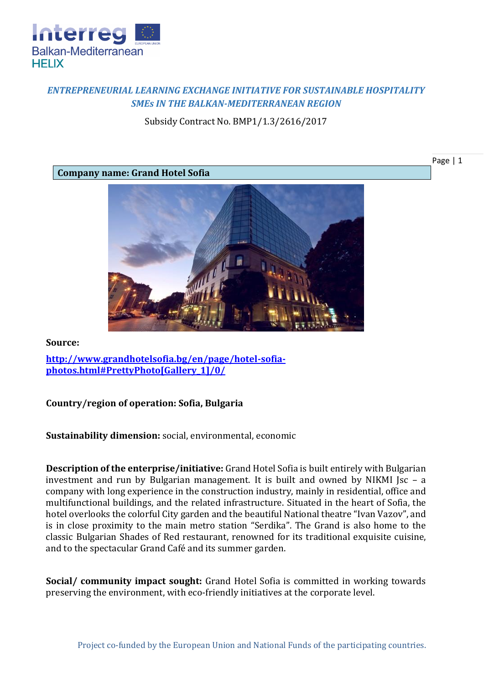

# *ENTREPRENEURIAL LEARNING EXCHANGE INITIATIVE FOR SUSTAINABLE HOSPITALITY SMEs IN THE BALKAN-MEDITERRANEAN REGION*

Subsidy Contract No. BMP1/1.3/2616/2017

**Company name: Grand Hotel Sofia**



**Source:**

**[http://www.grandhotelsofia.bg/en/page/hotel-sofia](http://www.grandhotelsofia.bg/en/page/hotel-sofia-photos.html%23PrettyPhoto%5bGallery_1%5d/0/)[photos.html#PrettyPhoto\[Gallery\\_1\]/0/](http://www.grandhotelsofia.bg/en/page/hotel-sofia-photos.html%23PrettyPhoto%5bGallery_1%5d/0/)**

#### **Country/region of operation: Sofia, Bulgaria**

**Sustainability dimension:** social, environmental, economic

**Description of the enterprise/initiative:** Grand Hotel Sofia is built entirely with Bulgarian investment and run by Bulgarian management. It is built and owned by NIKMI Jsc – a company with long experience in the construction industry, mainly in residential, office and multifunctional buildings, and the related infrastructure. Situated in the heart of Sofia, the hotel overlooks the colorful City garden and the beautiful National theatre "Ivan Vazov", and is in close proximity to the main metro station "Serdika". The Grand is also home to the classic Bulgarian Shades of Red restaurant, renowned for its traditional exquisite cuisine, and to the spectacular Grand Café and its summer garden.

**Social/ community impact sought:** Grand Hotel Sofia is committed in working towards preserving the environment, with eco-friendly initiatives at the corporate level.

Page | 1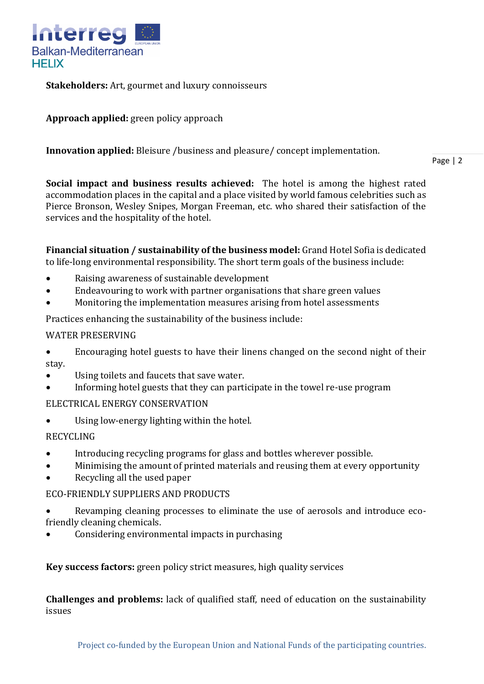

**Stakeholders:** Art, gourmet and luxury connoisseurs

**Approach applied:** green policy approach

**Innovation applied:** Bleisure /business and pleasure/ concept implementation.

Page | 2

**Social impact and business results achieved:** The hotel is among the highest rated accommodation places in the capital and a place visited by world famous celebrities such as Pierce Bronson, Wesley Snipes, Morgan Freeman, etc. who shared their satisfaction of the services and the hospitality of the hotel.

**Financial situation / sustainability of the business model:** Grand Hotel Sofia is dedicated to life-long environmental responsibility. The short term goals of the business include:

- Raising awareness of sustainable development
- Endeavouring to work with partner organisations that share green values
- Monitoring the implementation measures arising from hotel assessments

Practices enhancing the sustainability of the business include:

### WATER PRESERVING

- Encouraging hotel guests to have their linens changed on the second night of their stay.
- Using toilets and faucets that save water.
- Informing hotel guests that they can participate in the towel re-use program

### ELECTRICAL ENERGY CONSERVATION

Using low-energy lighting within the hotel.

## RECYCLING

- Introducing recycling programs for glass and bottles wherever possible.
- Minimising the amount of printed materials and reusing them at every opportunity
- Recycling all the used paper

### ECO-FRIENDLY SUPPLIERS AND PRODUCTS

- Revamping cleaning processes to eliminate the use of aerosols and introduce ecofriendly cleaning chemicals.
- Considering environmental impacts in purchasing

**Key success factors:** green policy strict measures, high quality services

**Challenges and problems:** lack of qualified staff, need of education on the sustainability issues